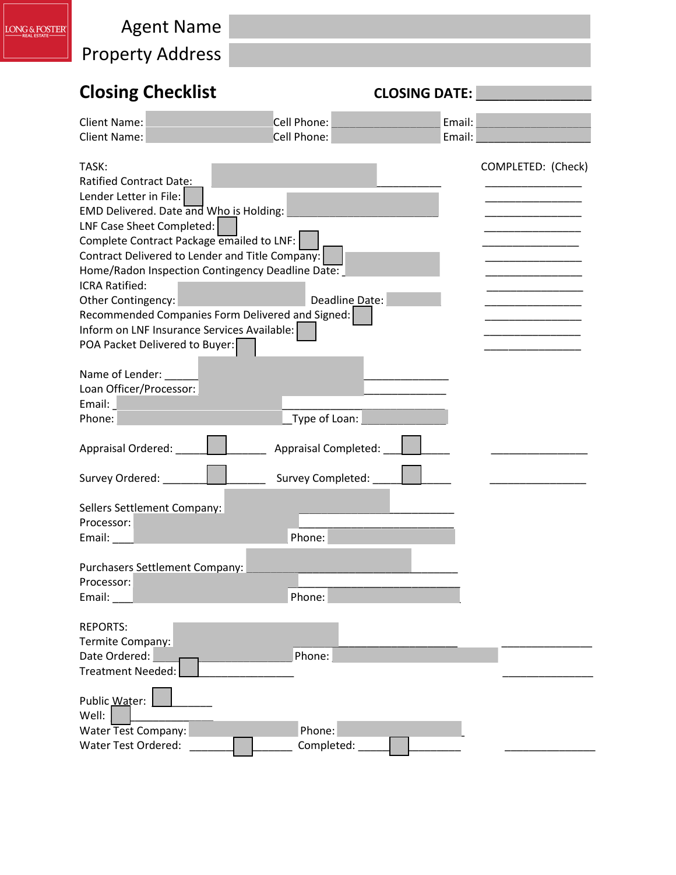| LONG & FOSTER | <b>Agent Name</b><br><b>Property Address</b>                                                                                                                                                                                                                                                                                                                                                                                                                                      |                             |                      |                    |
|---------------|-----------------------------------------------------------------------------------------------------------------------------------------------------------------------------------------------------------------------------------------------------------------------------------------------------------------------------------------------------------------------------------------------------------------------------------------------------------------------------------|-----------------------------|----------------------|--------------------|
|               | <b>Closing Checklist</b>                                                                                                                                                                                                                                                                                                                                                                                                                                                          |                             | <b>CLOSING DATE:</b> |                    |
|               | <b>Client Name:</b><br><b>Client Name:</b>                                                                                                                                                                                                                                                                                                                                                                                                                                        | Cell Phone:<br>Cell Phone:  | Email:<br>Email:     |                    |
|               | TASK:<br><b>Ratified Contract Date:</b><br>Lender Letter in File:<br>EMD Delivered. Date and Who is Holding:<br>LNF Case Sheet Completed:<br>Complete Contract Package emailed to LNF:<br>Contract Delivered to Lender and Title Company:<br>Home/Radon Inspection Contingency Deadline Date:<br><b>ICRA Ratified:</b><br>Other Contingency:<br>Recommended Companies Form Delivered and Signed:<br>Inform on LNF Insurance Services Available:<br>POA Packet Delivered to Buyer: | Deadline Date:              |                      | COMPLETED: (Check) |
|               | Name of Lender:<br>Loan Officer/Processor:<br>Email:<br>Phone:                                                                                                                                                                                                                                                                                                                                                                                                                    | Type of Loan:               |                      |                    |
|               | Appraisal Ordered:                                                                                                                                                                                                                                                                                                                                                                                                                                                                | <b>Appraisal Completed:</b> |                      |                    |
|               | Survey Ordered:                                                                                                                                                                                                                                                                                                                                                                                                                                                                   | Survey Completed:           |                      |                    |
|               | Sellers Settlement Company:<br>Processor:<br>Email: $\_\_$                                                                                                                                                                                                                                                                                                                                                                                                                        | Phone:                      |                      |                    |
|               | Purchasers Settlement Company:<br>Processor:<br>Email: $\_\_$                                                                                                                                                                                                                                                                                                                                                                                                                     | Phone:                      |                      |                    |
|               | <b>REPORTS:</b><br>Termite Company:<br>Date Ordered:<br><b>Treatment Needed:</b>                                                                                                                                                                                                                                                                                                                                                                                                  | Phone:                      |                      |                    |
|               | Public Water:<br>Well:<br>Water Test Company:<br>Water Test Ordered:                                                                                                                                                                                                                                                                                                                                                                                                              | Phone:<br>Completed:        |                      |                    |